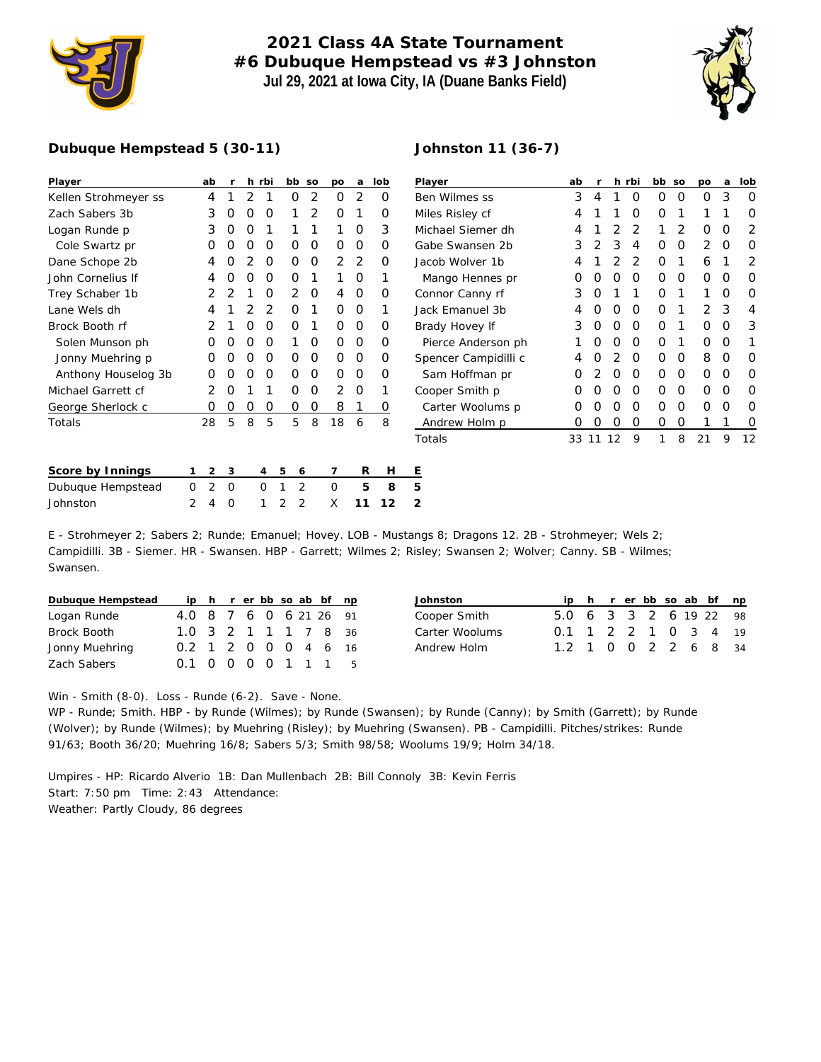

## **2021 Class 4A State Tournament #6 Dubuque Hempstead vs #3 Johnston Jul 29, 2021 at Iowa City, IA (Duane Banks Field)**

**Johnston 11 (36-7)**



**Player ab r h rbi bb so po a lob**

## **Dubuque Hempstead 5 (30-11)**

| Player               | ab            |                |   | h rbi    | bb so    |   | po       | a              | lob      | Player               | ab    |   |    | h rbi | bb so |          | po             | a        | lob |
|----------------------|---------------|----------------|---|----------|----------|---|----------|----------------|----------|----------------------|-------|---|----|-------|-------|----------|----------------|----------|-----|
| Kellen Strohmeyer ss | 4             |                | 2 |          | 0        | 2 | 0        | 2              | 0        | Ben Wilmes ss        | 3     | 4 |    | 0     | 0     | 0        | 0              | 3        | O   |
| Zach Sabers 3b       | 3             | O              | O | 0        |          | 2 | O        |                | 0        | Miles Risley cf      | 4     |   |    | O     | Ο     |          |                |          |     |
| Logan Runde p        | 3             | O              | O |          |          |   |          | O              | 3        | Michael Siemer dh    | 4     |   |    |       |       | 2        | 0              | 0        |     |
| Cole Swartz pr       |               |                | Ω | O        | Ο        | 0 | O        | O              | 0        | Gabe Swansen 2b      | 3     |   | 3  | Δ     | Ο     | O        | $\overline{2}$ | $\Omega$ |     |
| Dane Schope 2b       | 4             |                | 2 | $\Omega$ | 0        | 0 | 2        | $\overline{2}$ | Ο        | Jacob Wolver 1b      | 4     |   |    | 2     | 0     |          | 6              |          | 2   |
| John Cornelius If    | 4             |                | O | 0        | $\Omega$ |   |          | O              |          | Mango Hennes pr      | 0     |   | O  | O     | 0     | $\Omega$ | 0              | $\Omega$ |     |
| Trey Schaber 1b      |               |                |   | O        | 2        | 0 | 4        | $\Omega$       | 0        | Connor Canny rf      | 3     |   |    |       | Ο     |          |                | O        |     |
| Lane Wels dh         |               |                |   |          | 0        |   | $\Omega$ | $\Omega$       |          | Jack Emanuel 3b      | 4     |   |    | O     | O     |          | 2              | 3        |     |
| Brock Booth rf       |               |                | ი | $\Omega$ | 0        |   | O        | $\Omega$       | O        | Brady Hovey If       | 3     |   | O  | 0     | 0     |          | 0              | $\Omega$ | 3   |
| Solen Munson ph      | $\Omega$      | O              | O | 0        |          | 0 | 0        | 0              | 0        | Pierce Anderson ph   |       | 0 | O  | 0     | 0     |          | 0              | 0        |     |
| Jonny Muehring p     | O             |                | O | 0        | 0        | 0 | 0        | 0              | 0        | Spencer Campidilli c | 4     |   |    | O     | 0     | 0        | 8              | 0        |     |
| Anthony Houselog 3b  | O             |                | Ω | $\Omega$ | $\Omega$ | 0 | $\Omega$ | $\Omega$       | $\Omega$ | Sam Hoffman pr       | 0     |   | O  | O     | 0     | 0        | 0              | $\Omega$ | O   |
| Michael Garrett cf   |               |                |   |          | Ο        | 0 |          | O              |          | Cooper Smith p       | 0     |   |    | O     | 0     | $\Omega$ | 0              | $\Omega$ |     |
| George Sherlock c    | O             | O              | 0 | $\Omega$ | $\Omega$ | 0 | 8        |                | 0        | Carter Woolums p     | 0     | O | O  | O     | 0     | O        | 0              | $\Omega$ |     |
| Totals               | 28            | 5              | 8 | 5        | 5        | 8 | 18       | 6              | 8        | Andrew Holm p        | 0     | O | 0  | O     | 0     | O        |                |          |     |
|                      |               |                |   |          |          |   |          |                |          | Totals               | 33 11 |   | 12 | 9     | 1     | 8        | 21             | 9        | 12  |
|                      |               |                |   |          |          |   |          |                |          |                      |       |   |    |       |       |          |                |          |     |
| Score by Innings     | 2             | 3              |   | 4        | 5<br>6   |   |          | R              | H        | Ε                    |       |   |    |       |       |          |                |          |     |
| Dubuque Hempstead    | 2<br>$\Omega$ | $\overline{0}$ |   | $\Omega$ | 2<br>1   |   | 0        | 5              | 8        | 5                    |       |   |    |       |       |          |                |          |     |
| Johnston             | 2<br>4        | 0              |   |          | 2<br>2   |   | X        | 11             | 12       | 2                    |       |   |    |       |       |          |                |          |     |

E - Strohmeyer 2; Sabers 2; Runde; Emanuel; Hovey. LOB - Mustangs 8; Dragons 12. 2B - Strohmeyer; Wels 2; Campidilli. 3B - Siemer. HR - Swansen. HBP - Garrett; Wilmes 2; Risley; Swansen 2; Wolver; Canny. SB - Wilmes; Swansen.

| Dubuque Hempstead |                        |  |  |  | ip h r er bb so ab bf np |     |
|-------------------|------------------------|--|--|--|--------------------------|-----|
| Logan Runde       | 4.0 8 7 6 0 6 21 26 91 |  |  |  |                          |     |
| Brock Booth       | 1.0 3 2 1 1 1 7 8 36   |  |  |  |                          |     |
| Jonny Muehring    | 0.2 1 2 0 0 0 4 6 16   |  |  |  |                          |     |
| Zach Sabers       | 0.1 0 0 0 0 1 1 1      |  |  |  |                          | - 5 |

| Johnston       |                        |  |  |  | ip h r er bb so ab bf np |
|----------------|------------------------|--|--|--|--------------------------|
| Cooper Smith   | 5.0 6 3 3 2 6 19 22 98 |  |  |  |                          |
| Carter Woolums | 0.1 1 2 2 1 0 3 4 19   |  |  |  |                          |
| Andrew Holm    | 1.2 1 0 0 2 2 6 8 34   |  |  |  |                          |

Win - Smith (8-0). Loss - Runde (6-2). Save - None.

WP - Runde; Smith. HBP - by Runde (Wilmes); by Runde (Swansen); by Runde (Canny); by Smith (Garrett); by Runde (Wolver); by Runde (Wilmes); by Muehring (Risley); by Muehring (Swansen). PB - Campidilli. Pitches/strikes: Runde 91/63; Booth 36/20; Muehring 16/8; Sabers 5/3; Smith 98/58; Woolums 19/9; Holm 34/18.

Umpires - HP: Ricardo Alverio 1B: Dan Mullenbach 2B: Bill Connoly 3B: Kevin Ferris Start: 7:50 pm Time: 2:43 Attendance: Weather: Partly Cloudy, 86 degrees